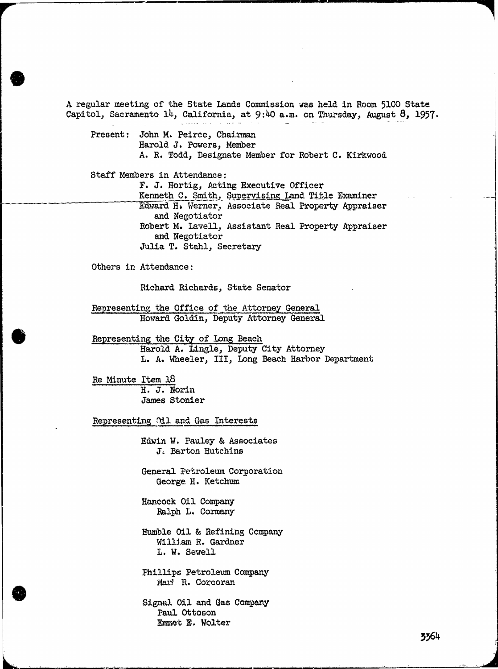A regular meeting of the State Lands Commission was held in Room 5100 State Capitol, Sacramento 14, California, at 9:40 a.m. on Thursday, August 8, 1957.

Present: John M. Peirce, Chairman Harold J. Powers, Member A. R. Todd, Designate Member for Robert C. Kirkwood

Staff Members in Attendance :

F. J. Hortig, Acting Executive Officer Kenneth C. Smith, Supervising Land Title Examiner Edward H. Werner, Associate Real Property Appraiser and Negotiator Robert M. Lavell, Assistant Real Property Appraiser and Negotiator Julia T. Stahl, Secretary

Others in Attendance:

Richard Richards, State Senator

Representing the Office of the Attorney General Howard Goldin, Deputy Attorney General

Representing the City of Long Beach Harold A. Lingle, Deputy City Attorney L. A. Wheeler, III, Long Beach Harbor Department

Re Minute Item 18 H. J. Norin James Stonier

Representing Oil and Gas Interests

Edwin W. Pauley & Associates J. Barton Hutchins

General Petroleum Corporation George H. Ketchum

Hancock Oil Company Ralph L. Cormany

Humble Oil & Refining Company William R. Gardner L. W. Sewell

Phillips Petroleum Company Mar! R. Corcoran

Signal Oil and Gas Company Paul Ottoson Emmet E. Wolter